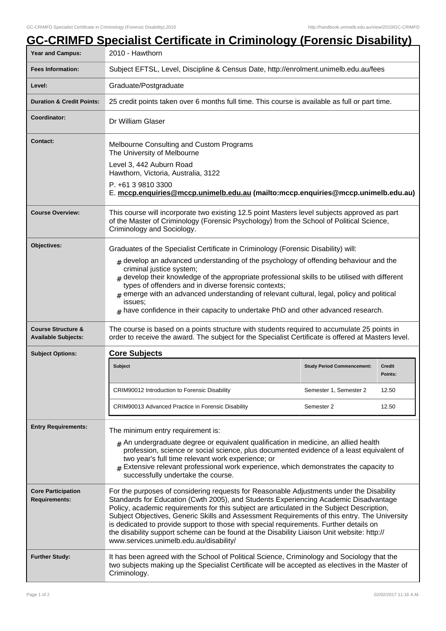|                                                             | <b>GC-CRIMFD Specialist Certificate in Criminology (Forensic Disability)</b>                                                                                                                                                                                                                                                                                                                                                                                                                                                                                                                                      |                                   |                          |  |
|-------------------------------------------------------------|-------------------------------------------------------------------------------------------------------------------------------------------------------------------------------------------------------------------------------------------------------------------------------------------------------------------------------------------------------------------------------------------------------------------------------------------------------------------------------------------------------------------------------------------------------------------------------------------------------------------|-----------------------------------|--------------------------|--|
| <b>Year and Campus:</b>                                     | 2010 - Hawthorn                                                                                                                                                                                                                                                                                                                                                                                                                                                                                                                                                                                                   |                                   |                          |  |
| <b>Fees Information:</b>                                    | Subject EFTSL, Level, Discipline & Census Date, http://enrolment.unimelb.edu.au/fees                                                                                                                                                                                                                                                                                                                                                                                                                                                                                                                              |                                   |                          |  |
| Level:                                                      | Graduate/Postgraduate                                                                                                                                                                                                                                                                                                                                                                                                                                                                                                                                                                                             |                                   |                          |  |
| <b>Duration &amp; Credit Points:</b>                        | 25 credit points taken over 6 months full time. This course is available as full or part time.                                                                                                                                                                                                                                                                                                                                                                                                                                                                                                                    |                                   |                          |  |
| Coordinator:                                                | Dr William Glaser                                                                                                                                                                                                                                                                                                                                                                                                                                                                                                                                                                                                 |                                   |                          |  |
| Contact:                                                    | Melbourne Consulting and Custom Programs<br>The University of Melbourne                                                                                                                                                                                                                                                                                                                                                                                                                                                                                                                                           |                                   |                          |  |
|                                                             | Level 3, 442 Auburn Road<br>Hawthorn, Victoria, Australia, 3122                                                                                                                                                                                                                                                                                                                                                                                                                                                                                                                                                   |                                   |                          |  |
|                                                             | P. +61 3 9810 3300<br>E. mccp.enquiries@mccp.unimelb.edu.au (mailto:mccp.enquiries@mccp.unimelb.edu.au)                                                                                                                                                                                                                                                                                                                                                                                                                                                                                                           |                                   |                          |  |
| <b>Course Overview:</b>                                     | This course will incorporate two existing 12.5 point Masters level subjects approved as part<br>of the Master of Criminology (Forensic Psychology) from the School of Political Science,<br>Criminology and Sociology.                                                                                                                                                                                                                                                                                                                                                                                            |                                   |                          |  |
| Objectives:                                                 | Graduates of the Specialist Certificate in Criminology (Forensic Disability) will:                                                                                                                                                                                                                                                                                                                                                                                                                                                                                                                                |                                   |                          |  |
|                                                             | $#$ develop an advanced understanding of the psychology of offending behaviour and the<br>criminal justice system;<br>$_{\#}$ develop their knowledge of the appropriate professional skills to be utilised with different<br>types of offenders and in diverse forensic contexts;<br>$#$ emerge with an advanced understanding of relevant cultural, legal, policy and political<br>issues:<br>$#$ have confidence in their capacity to undertake PhD and other advanced research.                                                                                                                               |                                   |                          |  |
| <b>Course Structure &amp;</b><br><b>Available Subjects:</b> | The course is based on a points structure with students required to accumulate 25 points in<br>order to receive the award. The subject for the Specialist Certificate is offered at Masters level.                                                                                                                                                                                                                                                                                                                                                                                                                |                                   |                          |  |
| <b>Subject Options:</b>                                     | <b>Core Subjects</b>                                                                                                                                                                                                                                                                                                                                                                                                                                                                                                                                                                                              |                                   |                          |  |
|                                                             | <b>Subject</b>                                                                                                                                                                                                                                                                                                                                                                                                                                                                                                                                                                                                    | <b>Study Period Commencement:</b> | <b>Credit</b><br>Points: |  |
|                                                             | CRIM90012 Introduction to Forensic Disability                                                                                                                                                                                                                                                                                                                                                                                                                                                                                                                                                                     | Semester 1, Semester 2            | 12.50                    |  |
|                                                             | CRIM90013 Advanced Practice in Forensic Disability                                                                                                                                                                                                                                                                                                                                                                                                                                                                                                                                                                | Semester 2                        | 12.50                    |  |
| <b>Entry Requirements:</b>                                  | The minimum entry requirement is:<br>$#$ An undergraduate degree or equivalent qualification in medicine, an allied health<br>profession, science or social science, plus documented evidence of a least equivalent of<br>two year's full time relevant work experience; or<br>Extensive relevant professional work experience, which demonstrates the capacity to<br>successfully undertake the course.                                                                                                                                                                                                          |                                   |                          |  |
| <b>Core Participation</b><br><b>Requirements:</b>           | For the purposes of considering requests for Reasonable Adjustments under the Disability<br>Standards for Education (Cwth 2005), and Students Experiencing Academic Disadvantage<br>Policy, academic requirements for this subject are articulated in the Subject Description,<br>Subject Objectives, Generic Skills and Assessment Requirements of this entry. The University<br>is dedicated to provide support to those with special requirements. Further details on<br>the disability support scheme can be found at the Disability Liaison Unit website: http://<br>www.services.unimelb.edu.au/disability/ |                                   |                          |  |
| <b>Further Study:</b>                                       | It has been agreed with the School of Political Science, Criminology and Sociology that the<br>two subjects making up the Specialist Certificate will be accepted as electives in the Master of<br>Criminology.                                                                                                                                                                                                                                                                                                                                                                                                   |                                   |                          |  |